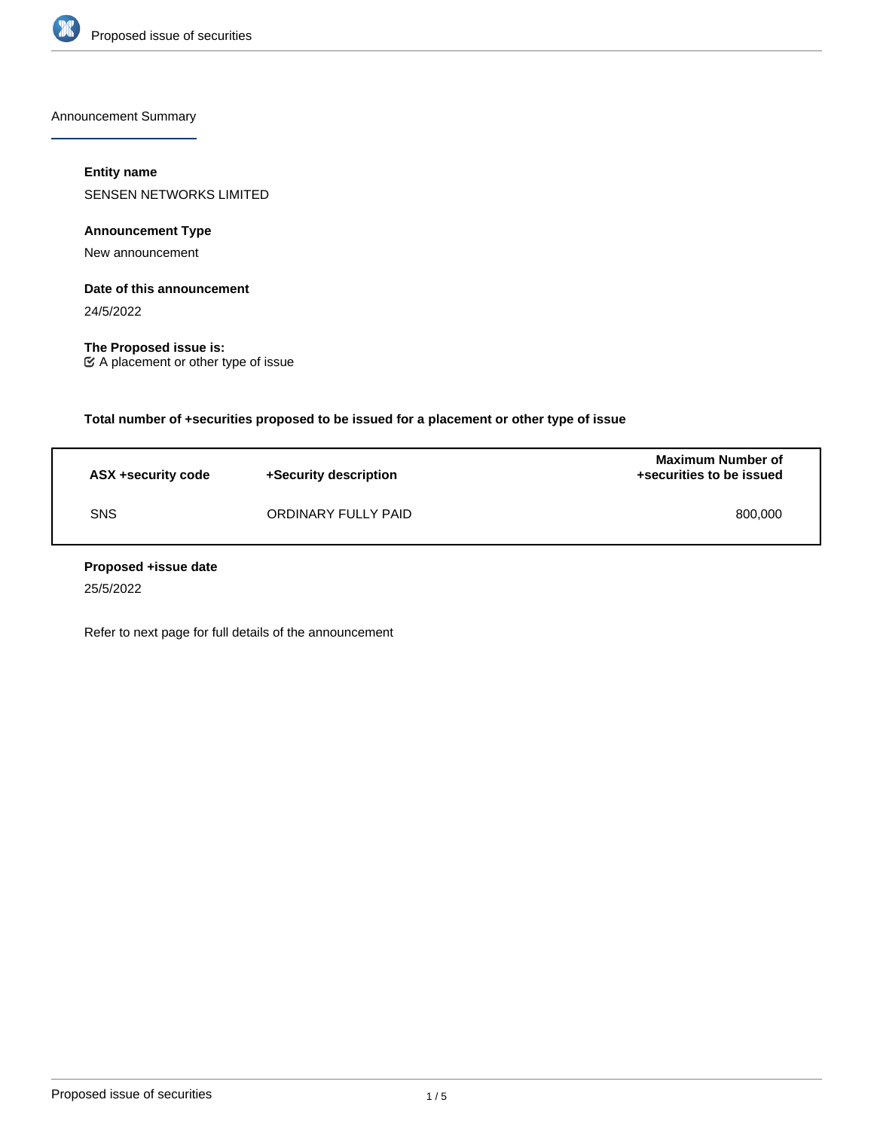

Announcement Summary

# **Entity name**

SENSEN NETWORKS LIMITED

**Announcement Type**

New announcement

## **Date of this announcement**

24/5/2022

**The Proposed issue is:** A placement or other type of issue

**Total number of +securities proposed to be issued for a placement or other type of issue**

| ASX +security code | +Security description | <b>Maximum Number of</b><br>+securities to be issued |
|--------------------|-----------------------|------------------------------------------------------|
| <b>SNS</b>         | ORDINARY FULLY PAID   | 800,000                                              |

### **Proposed +issue date**

25/5/2022

Refer to next page for full details of the announcement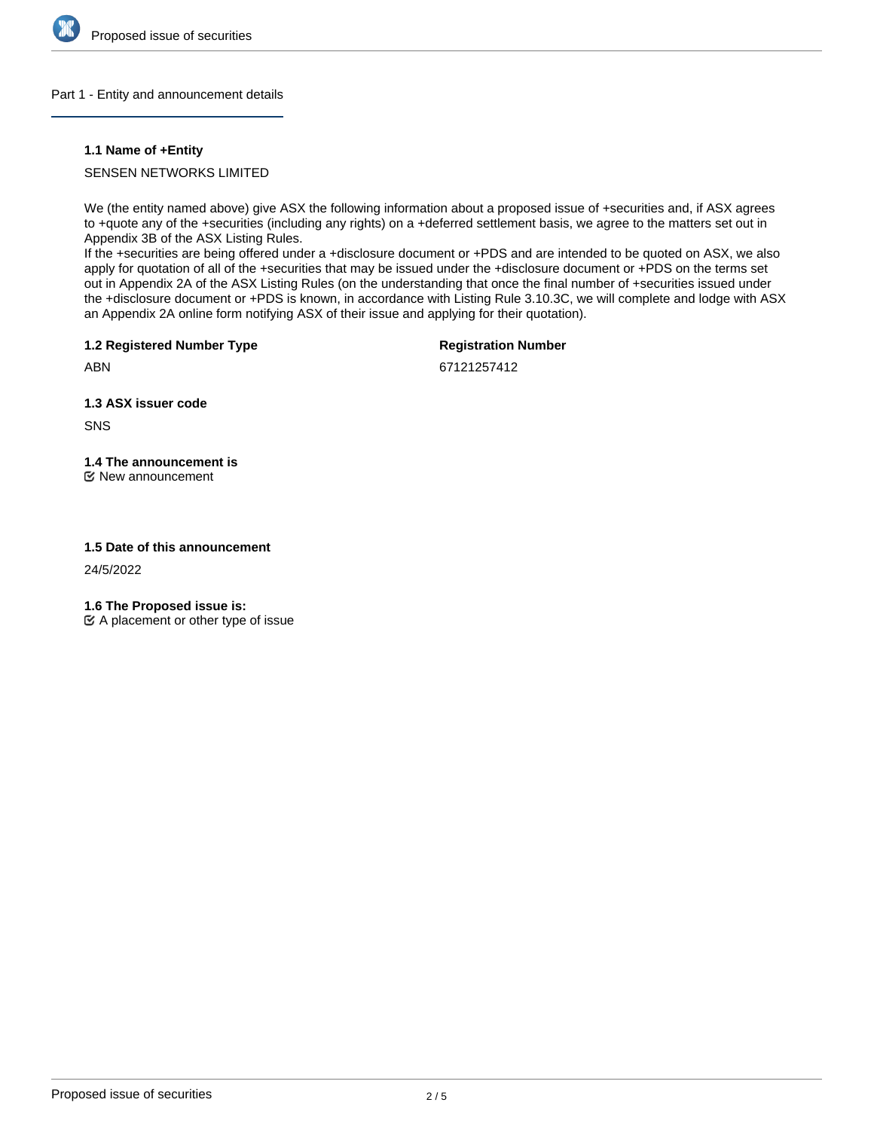

### Part 1 - Entity and announcement details

### **1.1 Name of +Entity**

## SENSEN NETWORKS LIMITED

We (the entity named above) give ASX the following information about a proposed issue of +securities and, if ASX agrees to +quote any of the +securities (including any rights) on a +deferred settlement basis, we agree to the matters set out in Appendix 3B of the ASX Listing Rules.

If the +securities are being offered under a +disclosure document or +PDS and are intended to be quoted on ASX, we also apply for quotation of all of the +securities that may be issued under the +disclosure document or +PDS on the terms set out in Appendix 2A of the ASX Listing Rules (on the understanding that once the final number of +securities issued under the +disclosure document or +PDS is known, in accordance with Listing Rule 3.10.3C, we will complete and lodge with ASX an Appendix 2A online form notifying ASX of their issue and applying for their quotation).

**1.2 Registered Number Type**

**Registration Number**

ABN

67121257412

**1.3 ASX issuer code**

SNS

# **1.4 The announcement is**

New announcement

### **1.5 Date of this announcement**

24/5/2022

**1.6 The Proposed issue is:**

 $\mathfrak{C}$  A placement or other type of issue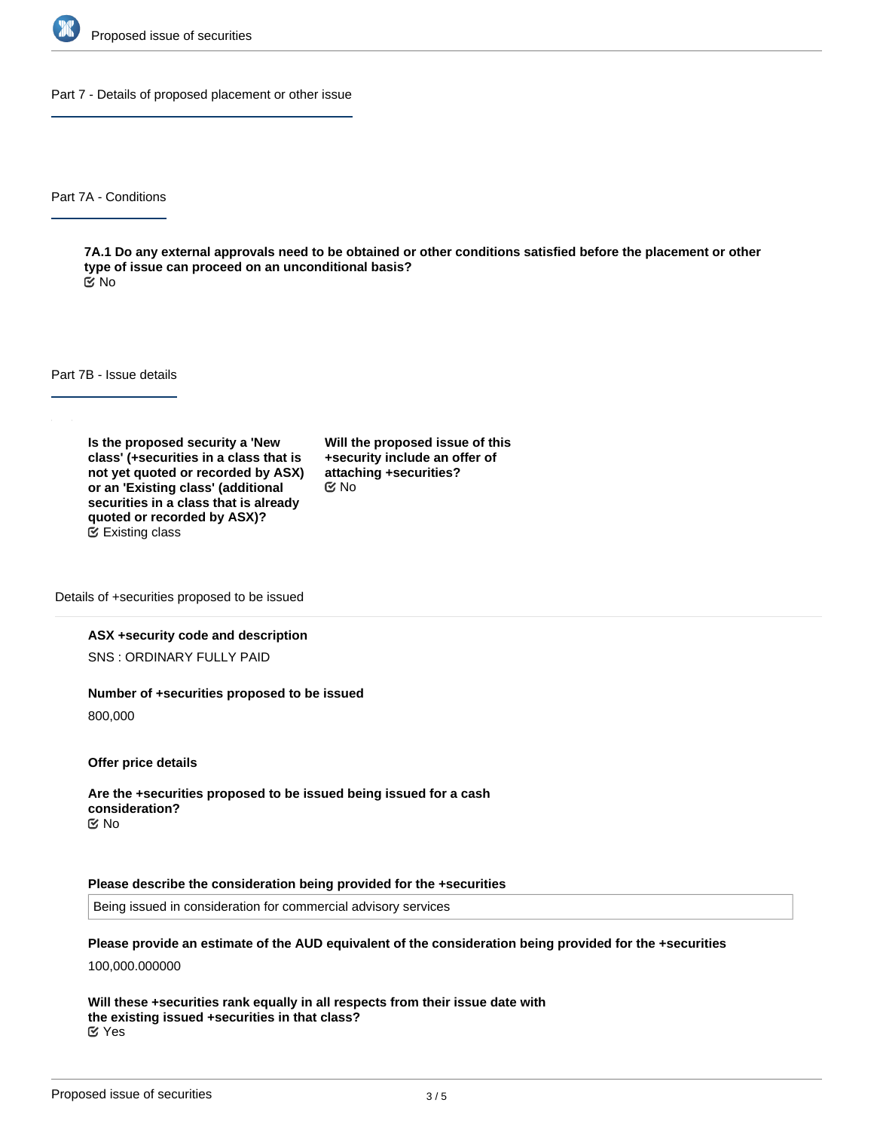

Part 7 - Details of proposed placement or other issue

Part 7A - Conditions

**7A.1 Do any external approvals need to be obtained or other conditions satisfied before the placement or other type of issue can proceed on an unconditional basis?** No

Part 7B - Issue details

**Is the proposed security a 'New class' (+securities in a class that is not yet quoted or recorded by ASX) or an 'Existing class' (additional securities in a class that is already quoted or recorded by ASX)?** Existing class

**Will the proposed issue of this +security include an offer of attaching +securities?** No

Details of +securities proposed to be issued

### **ASX +security code and description**

SNS : ORDINARY FULLY PAID

### **Number of +securities proposed to be issued**

800,000

**Offer price details**

**Are the +securities proposed to be issued being issued for a cash consideration?** No

#### **Please describe the consideration being provided for the +securities**

Being issued in consideration for commercial advisory services

**Please provide an estimate of the AUD equivalent of the consideration being provided for the +securities**

100,000.000000

**Will these +securities rank equally in all respects from their issue date with the existing issued +securities in that class?** Yes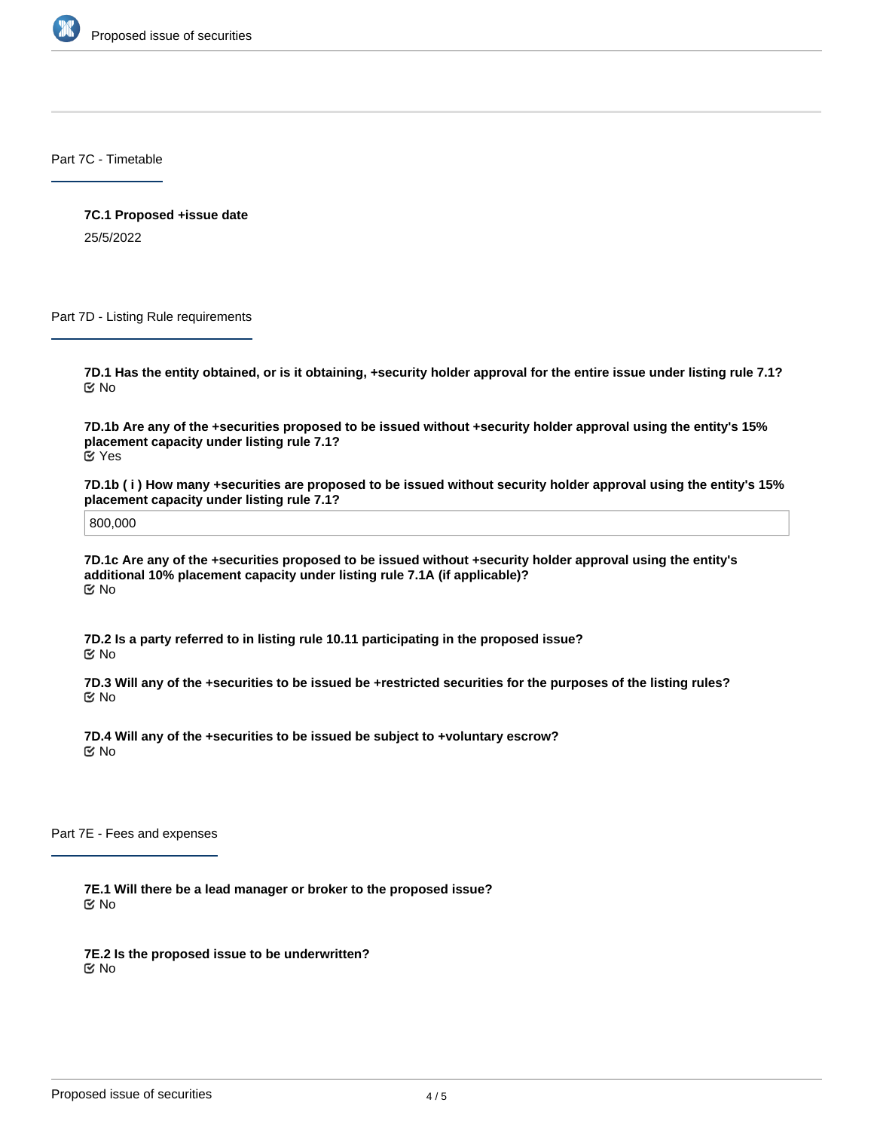

Part 7C - Timetable

**7C.1 Proposed +issue date** 25/5/2022

Part 7D - Listing Rule requirements

**7D.1 Has the entity obtained, or is it obtaining, +security holder approval for the entire issue under listing rule 7.1?** No

**7D.1b Are any of the +securities proposed to be issued without +security holder approval using the entity's 15% placement capacity under listing rule 7.1?** Yes

**7D.1b ( i ) How many +securities are proposed to be issued without security holder approval using the entity's 15% placement capacity under listing rule 7.1?**

800,000

**7D.1c Are any of the +securities proposed to be issued without +security holder approval using the entity's additional 10% placement capacity under listing rule 7.1A (if applicable)?** No

**7D.2 Is a party referred to in listing rule 10.11 participating in the proposed issue?** No

**7D.3 Will any of the +securities to be issued be +restricted securities for the purposes of the listing rules?** No

**7D.4 Will any of the +securities to be issued be subject to +voluntary escrow?** No

Part 7E - Fees and expenses

**7E.1 Will there be a lead manager or broker to the proposed issue?** No

**7E.2 Is the proposed issue to be underwritten?** No